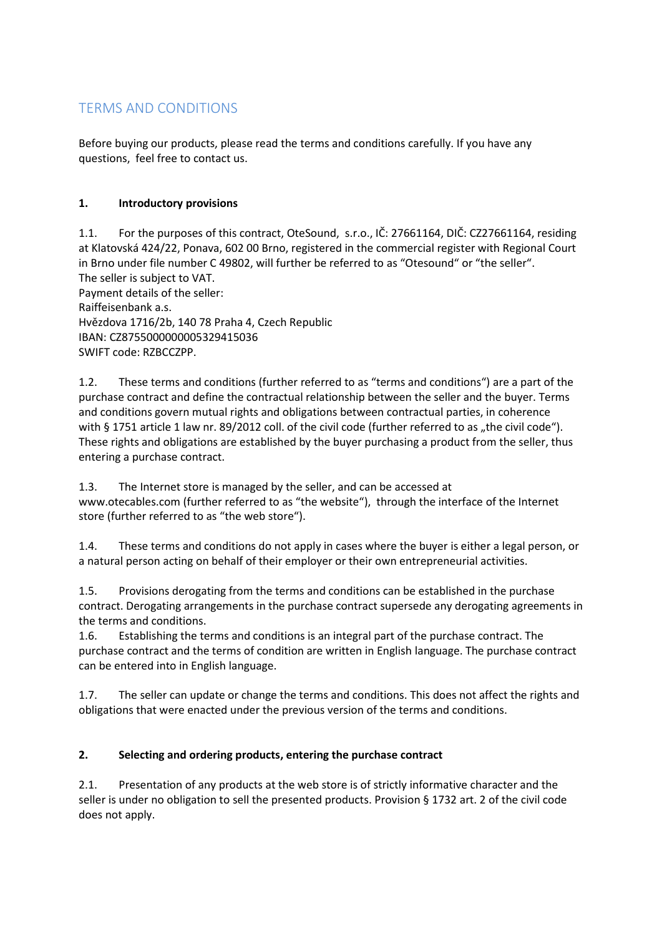# TERMS AND CONDITIONS

Before buying our products, please read the terms and conditions carefully. If you have any questions, feel free to contact us.

#### **1. Introductory provisions**

1.1. For the purposes of this contract, OteSound, s.r.o., IČ: 27661164, DIČ: CZ27661164, residing at Klatovská 424/22, Ponava, 602 00 Brno, registered in the commercial register with Regional Court in Brno under file number C 49802, will further be referred to as "Otesound" or "the seller". The seller is subject to VAT. Payment details of the seller: Raiffeisenbank a.s. Hvězdova 1716/2b, 140 78 Praha 4, Czech Republic IBAN: CZ8755000000005329415036 SWIFT code: RZBCCZPP.

1.2. These terms and conditions (further referred to as "terms and conditions") are a part of the purchase contract and define the contractual relationship between the seller and the buyer. Terms and conditions govern mutual rights and obligations between contractual parties, in coherence with § 1751 article 1 law nr. 89/2012 coll. of the civil code (further referred to as "the civil code"). These rights and obligations are established by the buyer purchasing a product from the seller, thus entering a purchase contract.

1.3. The Internet store is managed by the seller, and can be accessed at www.otecables.com (further referred to as "the website"), through the interface of the Internet store (further referred to as "the web store").

1.4. These terms and conditions do not apply in cases where the buyer is either a legal person, or a natural person acting on behalf of their employer or their own entrepreneurial activities.

1.5. Provisions derogating from the terms and conditions can be established in the purchase contract. Derogating arrangements in the purchase contract supersede any derogating agreements in the terms and conditions.

1.6. Establishing the terms and conditions is an integral part of the purchase contract. The purchase contract and the terms of condition are written in English language. The purchase contract can be entered into in English language.

1.7. The seller can update or change the terms and conditions. This does not affect the rights and obligations that were enacted under the previous version of the terms and conditions.

#### **2. Selecting and ordering products, entering the purchase contract**

2.1. Presentation of any products at the web store is of strictly informative character and the seller is under no obligation to sell the presented products. Provision § 1732 art. 2 of the civil code does not apply.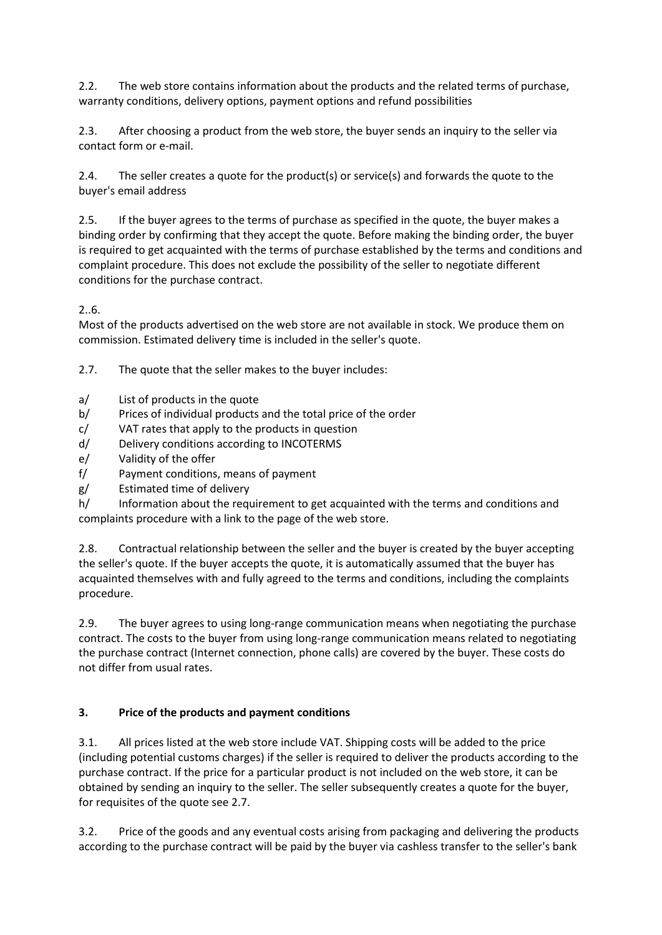2.2. The web store contains information about the products and the related terms of purchase, warranty conditions, delivery options, payment options and refund possibilities

2.3. After choosing a product from the web store, the buyer sends an inquiry to the seller via contact form or e-mail.

2.4. The seller creates a quote for the product(s) or service(s) and forwards the quote to the buyer's email address

2.5. If the buyer agrees to the terms of purchase as specified in the quote, the buyer makes a binding order by confirming that they accept the quote. Before making the binding order, the buyer is required to get acquainted with the terms of purchase established by the terms and conditions and complaint procedure. This does not exclude the possibility of the seller to negotiate different conditions for the purchase contract.

## 2..6.

Most of the products advertised on the web store are not available in stock. We produce them on commission. Estimated delivery time is included in the seller's quote.

2.7. The quote that the seller makes to the buyer includes:

- a/ List of products in the quote
- b/ Prices of individual products and the total price of the order
- c/ VAT rates that apply to the products in question
- d/ Delivery conditions according to INCOTERMS
- e/ Validity of the offer
- f/ Payment conditions, means of payment
- g/ Estimated time of delivery
- h/ Information about the requirement to get acquainted with the terms and conditions and complaints procedure with a link to the page of the web store.

2.8. Contractual relationship between the seller and the buyer is created by the buyer accepting the seller's quote. If the buyer accepts the quote, it is automatically assumed that the buyer has acquainted themselves with and fully agreed to the terms and conditions, including the complaints procedure.

2.9. The buyer agrees to using long-range communication means when negotiating the purchase contract. The costs to the buyer from using long-range communication means related to negotiating the purchase contract (Internet connection, phone calls) are covered by the buyer. These costs do not differ from usual rates.

#### **3. Price of the products and payment conditions**

3.1. All prices listed at the web store include VAT. Shipping costs will be added to the price (including potential customs charges) if the seller is required to deliver the products according to the purchase contract. If the price for a particular product is not included on the web store, it can be obtained by sending an inquiry to the seller. The seller subsequently creates a quote for the buyer, for requisites of the quote see 2.7.

3.2. Price of the goods and any eventual costs arising from packaging and delivering the products according to the purchase contract will be paid by the buyer via cashless transfer to the seller's bank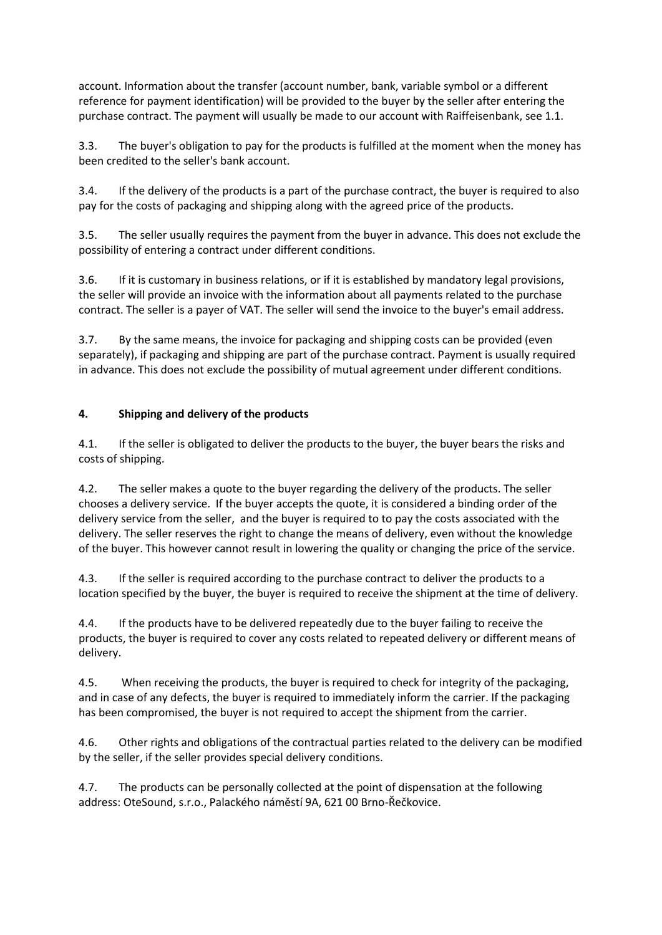account. Information about the transfer (account number, bank, variable symbol or a different reference for payment identification) will be provided to the buyer by the seller after entering the purchase contract. The payment will usually be made to our account with Raiffeisenbank, see 1.1.

3.3. The buyer's obligation to pay for the products is fulfilled at the moment when the money has been credited to the seller's bank account.

3.4. If the delivery of the products is a part of the purchase contract, the buyer is required to also pay for the costs of packaging and shipping along with the agreed price of the products.

3.5. The seller usually requires the payment from the buyer in advance. This does not exclude the possibility of entering a contract under different conditions.

3.6. If it is customary in business relations, or if it is established by mandatory legal provisions, the seller will provide an invoice with the information about all payments related to the purchase contract. The seller is a payer of VAT. The seller will send the invoice to the buyer's email address.

3.7. By the same means, the invoice for packaging and shipping costs can be provided (even separately), if packaging and shipping are part of the purchase contract. Payment is usually required in advance. This does not exclude the possibility of mutual agreement under different conditions.

## **4. Shipping and delivery of the products**

4.1. If the seller is obligated to deliver the products to the buyer, the buyer bears the risks and costs of shipping.

4.2. The seller makes a quote to the buyer regarding the delivery of the products. The seller chooses a delivery service. If the buyer accepts the quote, it is considered a binding order of the delivery service from the seller, and the buyer is required to to pay the costs associated with the delivery. The seller reserves the right to change the means of delivery, even without the knowledge of the buyer. This however cannot result in lowering the quality or changing the price of the service.

4.3. If the seller is required according to the purchase contract to deliver the products to a location specified by the buyer, the buyer is required to receive the shipment at the time of delivery.

4.4. If the products have to be delivered repeatedly due to the buyer failing to receive the products, the buyer is required to cover any costs related to repeated delivery or different means of delivery.

4.5. When receiving the products, the buyer is required to check for integrity of the packaging, and in case of any defects, the buyer is required to immediately inform the carrier. If the packaging has been compromised, the buyer is not required to accept the shipment from the carrier.

4.6. Other rights and obligations of the contractual parties related to the delivery can be modified by the seller, if the seller provides special delivery conditions.

4.7. The products can be personally collected at the point of dispensation at the following address: OteSound, s.r.o., Palackého náměstí 9A, 621 00 Brno-Řečkovice.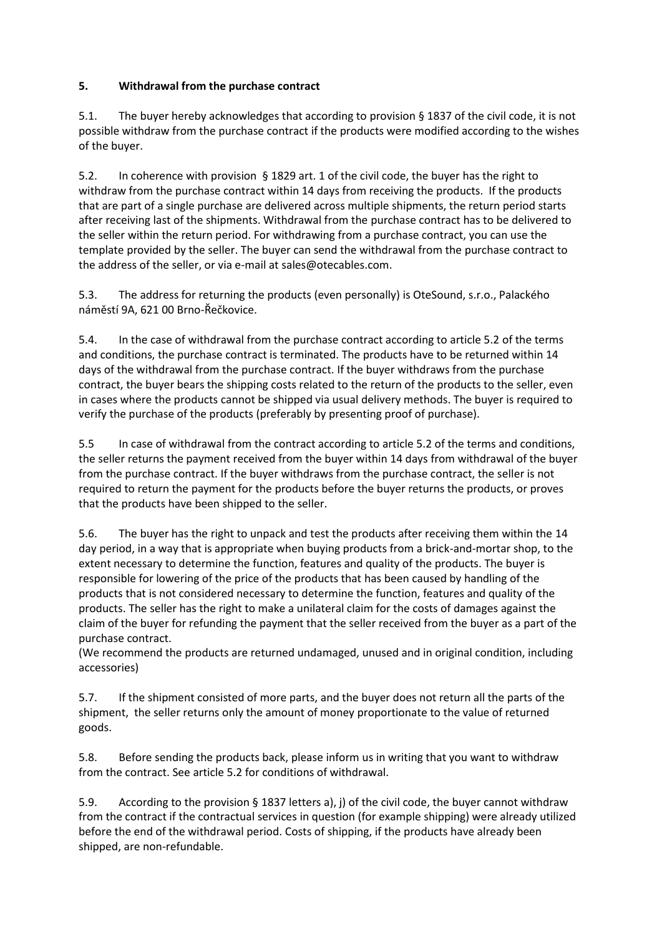## **5. Withdrawal from the purchase contract**

5.1. The buyer hereby acknowledges that according to provision § 1837 of the civil code, it is not possible withdraw from the purchase contract if the products were modified according to the wishes of the buyer.

5.2. In coherence with provision § 1829 art. 1 of the civil code, the buyer has the right to withdraw from the purchase contract within 14 days from receiving the products. If the products that are part of a single purchase are delivered across multiple shipments, the return period starts after receiving last of the shipments. Withdrawal from the purchase contract has to be delivered to the seller within the return period. For withdrawing from a purchase contract, you can use the template provided by the seller. The buyer can send the withdrawal from the purchase contract to the address of the seller, or via e-mail at sales@otecables.com.

5.3. The address for returning the products (even personally) is OteSound, s.r.o., Palackého náměstí 9A, 621 00 Brno-Řečkovice.

5.4. In the case of withdrawal from the purchase contract according to article 5.2 of the terms and conditions, the purchase contract is terminated. The products have to be returned within 14 days of the withdrawal from the purchase contract. If the buyer withdraws from the purchase contract, the buyer bears the shipping costs related to the return of the products to the seller, even in cases where the products cannot be shipped via usual delivery methods. The buyer is required to verify the purchase of the products (preferably by presenting proof of purchase).

5.5 In case of withdrawal from the contract according to article 5.2 of the terms and conditions, the seller returns the payment received from the buyer within 14 days from withdrawal of the buyer from the purchase contract. If the buyer withdraws from the purchase contract, the seller is not required to return the payment for the products before the buyer returns the products, or proves that the products have been shipped to the seller.

5.6. The buyer has the right to unpack and test the products after receiving them within the 14 day period, in a way that is appropriate when buying products from a brick-and-mortar shop, to the extent necessary to determine the function, features and quality of the products. The buyer is responsible for lowering of the price of the products that has been caused by handling of the products that is not considered necessary to determine the function, features and quality of the products. The seller has the right to make a unilateral claim for the costs of damages against the claim of the buyer for refunding the payment that the seller received from the buyer as a part of the purchase contract.

(We recommend the products are returned undamaged, unused and in original condition, including accessories)

5.7. If the shipment consisted of more parts, and the buyer does not return all the parts of the shipment, the seller returns only the amount of money proportionate to the value of returned goods.

5.8. Before sending the products back, please inform us in writing that you want to withdraw from the contract. See article 5.2 for conditions of withdrawal.

5.9. According to the provision § 1837 letters a), j) of the civil code, the buyer cannot withdraw from the contract if the contractual services in question (for example shipping) were already utilized before the end of the withdrawal period. Costs of shipping, if the products have already been shipped, are non-refundable.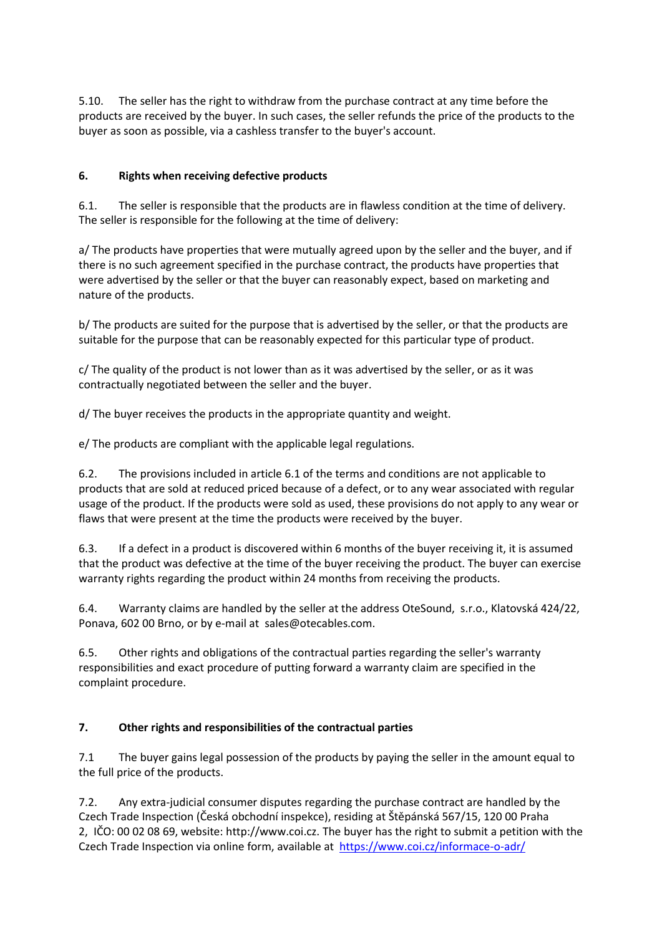5.10. The seller has the right to withdraw from the purchase contract at any time before the products are received by the buyer. In such cases, the seller refunds the price of the products to the buyer as soon as possible, via a cashless transfer to the buyer's account.

## **6. Rights when receiving defective products**

6.1. The seller is responsible that the products are in flawless condition at the time of delivery. The seller is responsible for the following at the time of delivery:

a/ The products have properties that were mutually agreed upon by the seller and the buyer, and if there is no such agreement specified in the purchase contract, the products have properties that were advertised by the seller or that the buyer can reasonably expect, based on marketing and nature of the products.

b/ The products are suited for the purpose that is advertised by the seller, or that the products are suitable for the purpose that can be reasonably expected for this particular type of product.

c/ The quality of the product is not lower than as it was advertised by the seller, or as it was contractually negotiated between the seller and the buyer.

d/ The buyer receives the products in the appropriate quantity and weight.

e/ The products are compliant with the applicable legal regulations.

6.2. The provisions included in article 6.1 of the terms and conditions are not applicable to products that are sold at reduced priced because of a defect, or to any wear associated with regular usage of the product. If the products were sold as used, these provisions do not apply to any wear or flaws that were present at the time the products were received by the buyer.

6.3. If a defect in a product is discovered within 6 months of the buyer receiving it, it is assumed that the product was defective at the time of the buyer receiving the product. The buyer can exercise warranty rights regarding the product within 24 months from receiving the products.

6.4. Warranty claims are handled by the seller at the address OteSound, s.r.o., Klatovská 424/22, Ponava, 602 00 Brno, or by e-mail at sales@otecables.com.

6.5. Other rights and obligations of the contractual parties regarding the seller's warranty responsibilities and exact procedure of putting forward a warranty claim are specified in the complaint procedure.

## **7. Other rights and responsibilities of the contractual parties**

7.1 The buyer gains legal possession of the products by paying the seller in the amount equal to the full price of the products.

7.2. Any extra-judicial consumer disputes regarding the purchase contract are handled by the Czech Trade Inspection (Česká obchodní inspekce), residing at Štěpánská 567/15, 120 00 Praha 2, IČO: 00 02 08 69, website: http://www.coi.cz. The buyer has the right to submit a petition with the Czech Trade Inspection via online form, available at <https://www.coi.cz/informace-o-adr/>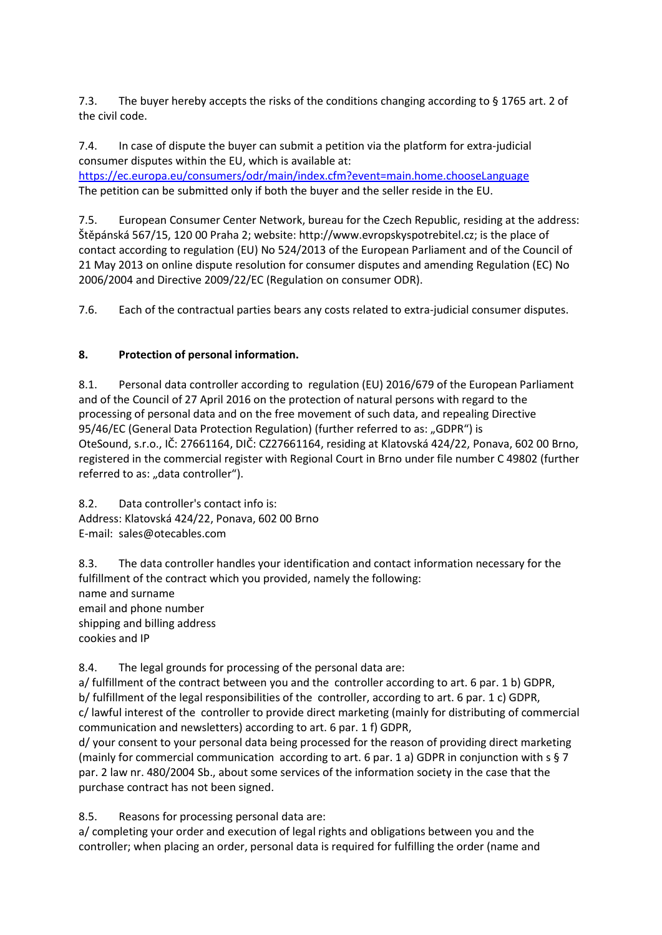7.3. The buyer hereby accepts the risks of the conditions changing according to § 1765 art. 2 of the civil code.

7.4. In case of dispute the buyer can submit a petition via the platform for extra-judicial consumer disputes within the EU, which is available at: <https://ec.europa.eu/consumers/odr/main/index.cfm?event=main.home.chooseLanguage> The petition can be submitted only if both the buyer and the seller reside in the EU.

7.5. European Consumer Center Network, bureau for the Czech Republic, residing at the address: Štěpánská 567/15, 120 00 Praha 2; website: http://www.evropskyspotrebitel.cz; is the place of contact according to regulation (EU) No 524/2013 of the European Parliament and of the Council of 21 May 2013 on online dispute resolution for consumer disputes and amending Regulation (EC) No 2006/2004 and Directive 2009/22/EC (Regulation on consumer ODR).

7.6. Each of the contractual parties bears any costs related to extra-judicial consumer disputes.

## **8. Protection of personal information.**

8.1. Personal data controller according to regulation (EU) 2016/679 of the European Parliament and of the Council of 27 April 2016 on the protection of natural persons with regard to the processing of personal data and on the free movement of such data, and repealing Directive 95/46/EC (General Data Protection Regulation) (further referred to as: "GDPR") is OteSound, s.r.o., IČ: 27661164, DIČ: CZ27661164, residing at Klatovská 424/22, Ponava, 602 00 Brno, registered in the commercial register with Regional Court in Brno under file number C 49802 (further referred to as: "data controller").

8.2. Data controller's contact info is: Address: Klatovská 424/22, Ponava, 602 00 Brno E-mail: sales@otecables.com

8.3. The data controller handles your identification and contact information necessary for the fulfillment of the contract which you provided, namely the following: name and surname email and phone number shipping and billing address cookies and IP

8.4. The legal grounds for processing of the personal data are:

a/ fulfillment of the contract between you and the controller according to art. 6 par. 1 b) GDPR, b/ fulfillment of the legal responsibilities of the controller, according to art. 6 par. 1 c) GDPR, c/ lawful interest of the controller to provide direct marketing (mainly for distributing of commercial communication and newsletters) according to art. 6 par. 1 f) GDPR,

d/ your consent to your personal data being processed for the reason of providing direct marketing (mainly for commercial communication according to art. 6 par. 1 a) GDPR in conjunction with  $\frac{1}{5}$   $\frac{1}{7}$ par. 2 law nr. 480/2004 Sb., about some services of the information society in the case that the purchase contract has not been signed.

8.5. Reasons for processing personal data are:

a/ completing your order and execution of legal rights and obligations between you and the controller; when placing an order, personal data is required for fulfilling the order (name and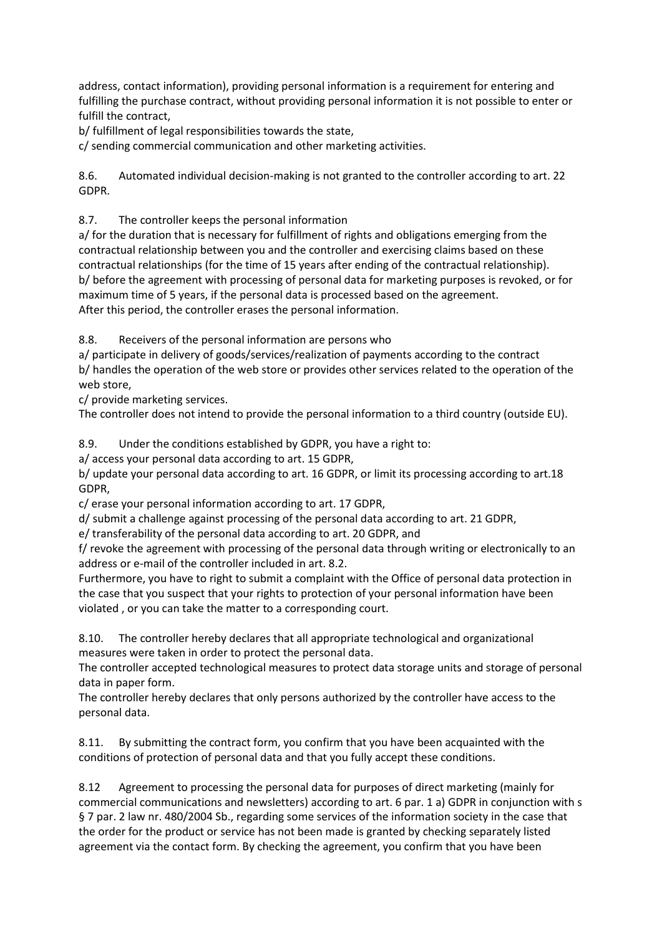address, contact information), providing personal information is a requirement for entering and fulfilling the purchase contract, without providing personal information it is not possible to enter or fulfill the contract,

b/ fulfillment of legal responsibilities towards the state,

c/ sending commercial communication and other marketing activities.

8.6. Automated individual decision-making is not granted to the controller according to art. 22 GDPR.

8.7. The controller keeps the personal information

a/ for the duration that is necessary for fulfillment of rights and obligations emerging from the contractual relationship between you and the controller and exercising claims based on these contractual relationships (for the time of 15 years after ending of the contractual relationship). b/ before the agreement with processing of personal data for marketing purposes is revoked, or for maximum time of 5 years, if the personal data is processed based on the agreement. After this period, the controller erases the personal information.

8.8. Receivers of the personal information are persons who

a/ participate in delivery of goods/services/realization of payments according to the contract b/ handles the operation of the web store or provides other services related to the operation of the web store,

c/ provide marketing services.

The controller does not intend to provide the personal information to a third country (outside EU).

8.9. Under the conditions established by GDPR, you have a right to:

a/ access your personal data according to art. 15 GDPR,

b/ update your personal data according to art. 16 GDPR, or limit its processing according to art.18 GDPR,

c/ erase your personal information according to art. 17 GDPR,

d/ submit a challenge against processing of the personal data according to art. 21 GDPR,

e/ transferability of the personal data according to art. 20 GDPR, and

f/ revoke the agreement with processing of the personal data through writing or electronically to an address or e-mail of the controller included in art. 8.2.

Furthermore, you have to right to submit a complaint with the Office of personal data protection in the case that you suspect that your rights to protection of your personal information have been violated , or you can take the matter to a corresponding court.

8.10. The controller hereby declares that all appropriate technological and organizational measures were taken in order to protect the personal data.

The controller accepted technological measures to protect data storage units and storage of personal data in paper form.

The controller hereby declares that only persons authorized by the controller have access to the personal data.

8.11. By submitting the contract form, you confirm that you have been acquainted with the conditions of protection of personal data and that you fully accept these conditions.

8.12 Agreement to processing the personal data for purposes of direct marketing (mainly for commercial communications and newsletters) according to art. 6 par. 1 a) GDPR in conjunction with s § 7 par. 2 law nr. 480/2004 Sb., regarding some services of the information society in the case that the order for the product or service has not been made is granted by checking separately listed agreement via the contact form. By checking the agreement, you confirm that you have been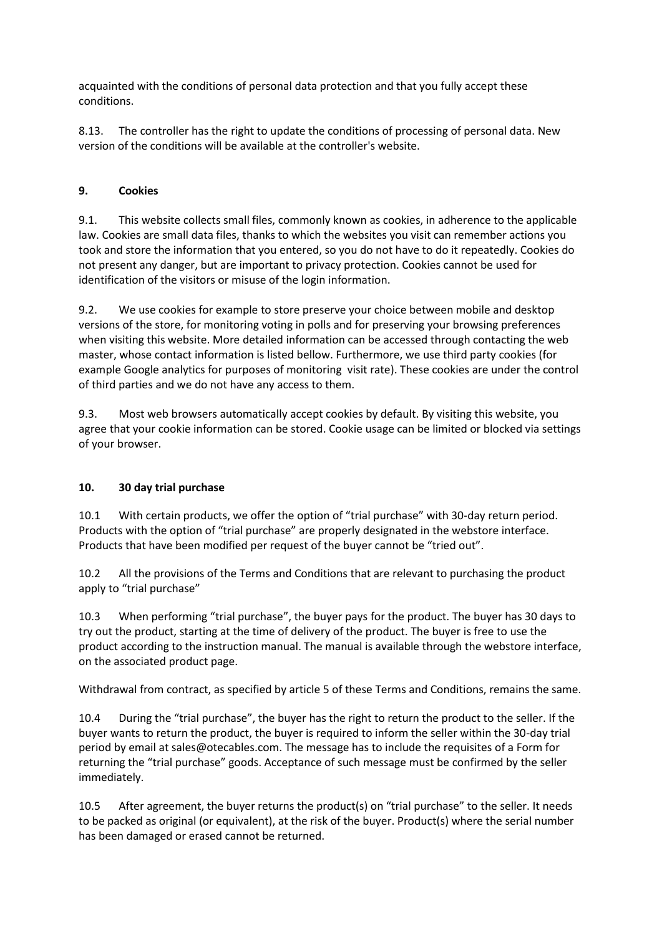acquainted with the conditions of personal data protection and that you fully accept these conditions.

8.13. The controller has the right to update the conditions of processing of personal data. New version of the conditions will be available at the controller's website.

#### **9. Cookies**

9.1. This website collects small files, commonly known as cookies, in adherence to the applicable law. Cookies are small data files, thanks to which the websites you visit can remember actions you took and store the information that you entered, so you do not have to do it repeatedly. Cookies do not present any danger, but are important to privacy protection. Cookies cannot be used for identification of the visitors or misuse of the login information.

9.2. We use cookies for example to store preserve your choice between mobile and desktop versions of the store, for monitoring voting in polls and for preserving your browsing preferences when visiting this website. More detailed information can be accessed through contacting the web master, whose contact information is listed bellow. Furthermore, we use third party cookies (for example Google analytics for purposes of monitoring visit rate). These cookies are under the control of third parties and we do not have any access to them.

9.3. Most web browsers automatically accept cookies by default. By visiting this website, you agree that your cookie information can be stored. Cookie usage can be limited or blocked via settings of your browser.

#### **10. 30 day trial purchase**

10.1 With certain products, we offer the option of "trial purchase" with 30-day return period. Products with the option of "trial purchase" are properly designated in the webstore interface. Products that have been modified per request of the buyer cannot be "tried out".

10.2 All the provisions of the Terms and Conditions that are relevant to purchasing the product apply to "trial purchase"

10.3 When performing "trial purchase", the buyer pays for the product. The buyer has 30 days to try out the product, starting at the time of delivery of the product. The buyer is free to use the product according to the instruction manual. The manual is available through the webstore interface, on the associated product page.

Withdrawal from contract, as specified by article 5 of these Terms and Conditions, remains the same.

10.4 During the "trial purchase", the buyer has the right to return the product to the seller. If the buyer wants to return the product, the buyer is required to inform the seller within the 30-day trial period by email at sales@otecables.com. The message has to include the requisites of a Form for returning the "trial purchase" goods. Acceptance of such message must be confirmed by the seller immediately.

10.5 After agreement, the buyer returns the product(s) on "trial purchase" to the seller. It needs to be packed as original (or equivalent), at the risk of the buyer. Product(s) where the serial number has been damaged or erased cannot be returned.